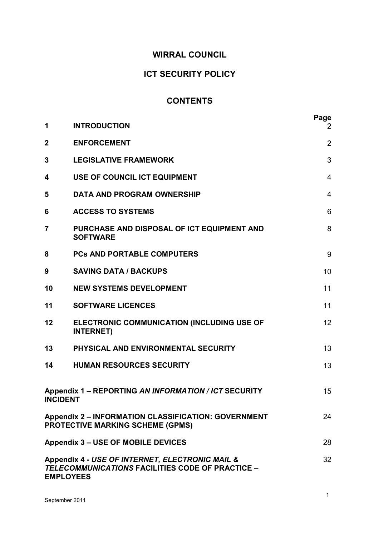# **WIRRAL COUNCIL**

# **ICT SECURITY POLICY**

# **CONTENTS**

| 1                                                                                                                             | <b>INTRODUCTION</b>                                                                                   | Page<br>$\mathbf{2}$ |
|-------------------------------------------------------------------------------------------------------------------------------|-------------------------------------------------------------------------------------------------------|----------------------|
| $\mathbf{2}$                                                                                                                  | <b>ENFORCEMENT</b>                                                                                    | 2                    |
| 3                                                                                                                             | <b>LEGISLATIVE FRAMEWORK</b>                                                                          | 3                    |
| 4                                                                                                                             | USE OF COUNCIL ICT EQUIPMENT                                                                          | $\overline{4}$       |
| 5                                                                                                                             | <b>DATA AND PROGRAM OWNERSHIP</b>                                                                     | $\overline{4}$       |
| 6                                                                                                                             | <b>ACCESS TO SYSTEMS</b>                                                                              | 6                    |
| 7                                                                                                                             | PURCHASE AND DISPOSAL OF ICT EQUIPMENT AND<br><b>SOFTWARE</b>                                         | 8                    |
| 8                                                                                                                             | <b>PCs AND PORTABLE COMPUTERS</b>                                                                     | 9                    |
| 9                                                                                                                             | <b>SAVING DATA / BACKUPS</b>                                                                          | 10                   |
| 10                                                                                                                            | <b>NEW SYSTEMS DEVELOPMENT</b>                                                                        | 11                   |
| 11                                                                                                                            | <b>SOFTWARE LICENCES</b>                                                                              | 11                   |
| 12                                                                                                                            | ELECTRONIC COMMUNICATION (INCLUDING USE OF<br><b>INTERNET)</b>                                        | 12                   |
| 13                                                                                                                            | PHYSICAL AND ENVIRONMENTAL SECURITY                                                                   | 13                   |
| 14                                                                                                                            | <b>HUMAN RESOURCES SECURITY</b>                                                                       | 13                   |
| <b>INCIDENT</b>                                                                                                               | Appendix 1 - REPORTING AN INFORMATION / ICT SECURITY                                                  | 15                   |
|                                                                                                                               | <b>Appendix 2 - INFORMATION CLASSIFICATION: GOVERNMENT</b><br><b>PROTECTIVE MARKING SCHEME (GPMS)</b> | 24                   |
| <b>Appendix 3 - USE OF MOBILE DEVICES</b><br>28                                                                               |                                                                                                       |                      |
| Appendix 4 - USE OF INTERNET, ELECTRONIC MAIL &<br>32<br>TELECOMMUNICATIONS FACILITIES CODE OF PRACTICE -<br><b>EMPLOYEES</b> |                                                                                                       |                      |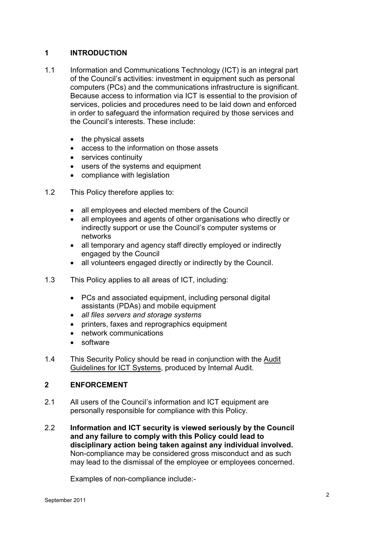# **1 INTRODUCTION**

- 1.1 Information and Communications Technology (ICT) is an integral part of the Council's activities: investment in equipment such as personal computers (PCs) and the communications infrastructure is significant. Because access to information via ICT is essential to the provision of services, policies and procedures need to be laid down and enforced in order to safeguard the information required by those services and the Council's interests. These include:
	- the physical assets
	- access to the information on those assets
	- services continuity
	- users of the systems and equipment
	- compliance with legislation
- 1.2 This Policy therefore applies to:
	- all employees and elected members of the Council
	- all employees and agents of other organisations who directly or indirectly support or use the Council's computer systems or networks
	- all temporary and agency staff directly employed or indirectly engaged by the Council
	- all volunteers engaged directly or indirectly by the Council.
- 1.3 This Policy applies to all areas of ICT, including:
	- PCs and associated equipment, including personal digital assistants (PDAs) and mobile equipment
	- *all files servers and storage systems*
	- printers, faxes and reprographics equipment
	- network communications
	- software
- 1.4 This Security Policy should be read in conjunction with the Audit Guidelines for ICT Systems, produced by Internal Audit.

# **2 ENFORCEMENT**

- 2.1 All users of the Council's information and ICT equipment are personally responsible for compliance with this Policy.
- 2.2 **Information and ICT security is viewed seriously by the Council and any failure to comply with this Policy could lead to disciplinary action being taken against any individual involved.** Non-compliance may be considered gross misconduct and as such may lead to the dismissal of the employee or employees concerned.

Examples of non-compliance include:-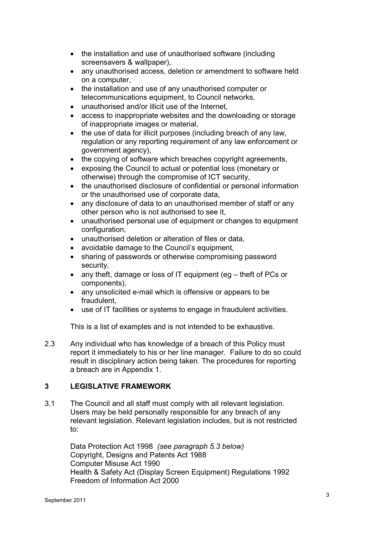- the installation and use of unauthorised software (including screensavers & wallpaper),
- any unauthorised access, deletion or amendment to software held on a computer,
- the installation and use of any unauthorised computer or telecommunications equipment, to Council networks,
- unauthorised and/or illicit use of the Internet,
- access to inappropriate websites and the downloading or storage of inappropriate images or material,
- the use of data for illicit purposes (including breach of any law, regulation or any reporting requirement of any law enforcement or government agency),
- the copying of software which breaches copyright agreements,
- exposing the Council to actual or potential loss (monetary or otherwise) through the compromise of ICT security,
- the unauthorised disclosure of confidential or personal information or the unauthorised use of corporate data,
- any disclosure of data to an unauthorised member of staff or any other person who is not authorised to see it,
- unauthorised personal use of equipment or changes to equipment configuration,
- unauthorised deletion or alteration of files or data,
- avoidable damage to the Council's equipment,
- sharing of passwords or otherwise compromising password security,
- any theft, damage or loss of IT equipment (eg theft of PCs or components),
- any unsolicited e-mail which is offensive or appears to be fraudulent,
- use of IT facilities or systems to engage in fraudulent activities.

This is a list of examples and is not intended to be exhaustive.

2.3 Any individual who has knowledge of a breach of this Policy must report it immediately to his or her line manager. Failure to do so could result in disciplinary action being taken. The procedures for reporting a breach are in Appendix 1.

# **3 LEGISLATIVE FRAMEWORK**

3.1 The Council and all staff must comply with all relevant legislation. Users may be held personally responsible for any breach of any relevant legislation. Relevant legislation includes, but is not restricted to:

> Data Protection Act 1998 *(see paragraph 5.3 below)* Copyright, Designs and Patents Act 1988 Computer Misuse Act 1990 Health & Safety Act (Display Screen Equipment) Regulations 1992 Freedom of Information Act 2000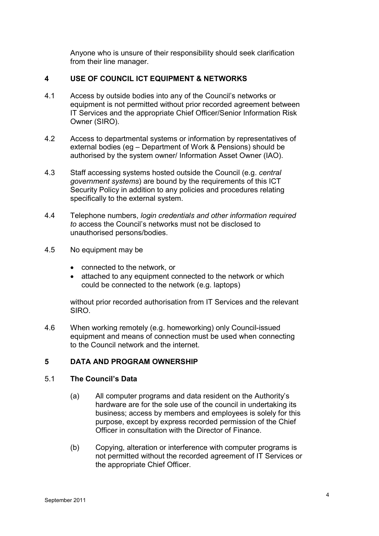Anyone who is unsure of their responsibility should seek clarification from their line manager.

# **4 USE OF COUNCIL ICT EQUIPMENT & NETWORKS**

- 4.1 Access by outside bodies into any of the Council's networks or equipment is not permitted without prior recorded agreement between IT Services and the appropriate Chief Officer/Senior Information Risk Owner (SIRO).
- 4.2 Access to departmental systems or information by representatives of external bodies (eg – Department of Work & Pensions) should be authorised by the system owner/ Information Asset Owner (IAO).
- 4.3 Staff accessing systems hosted outside the Council (e.g. *central government systems*) are bound by the requirements of this ICT Security Policy in addition to any policies and procedures relating specifically to the external system.
- 4.4 Telephone numbers, *login credentials and other information required to* access the Council's networks must not be disclosed to unauthorised persons/bodies.
- 4.5 No equipment may be
	- connected to the network, or
	- attached to any equipment connected to the network or which could be connected to the network (e.g. laptops)

without prior recorded authorisation from IT Services and the relevant SIRO.

4.6 When working remotely (e.g. homeworking) only Council-issued equipment and means of connection must be used when connecting to the Council network and the internet.

#### **5 DATA AND PROGRAM OWNERSHIP**

#### 5.1 **The Council's Data**

- (a) All computer programs and data resident on the Authority's hardware are for the sole use of the council in undertaking its business; access by members and employees is solely for this purpose, except by express recorded permission of the Chief Officer in consultation with the Director of Finance.
- (b) Copying, alteration or interference with computer programs is not permitted without the recorded agreement of IT Services or the appropriate Chief Officer.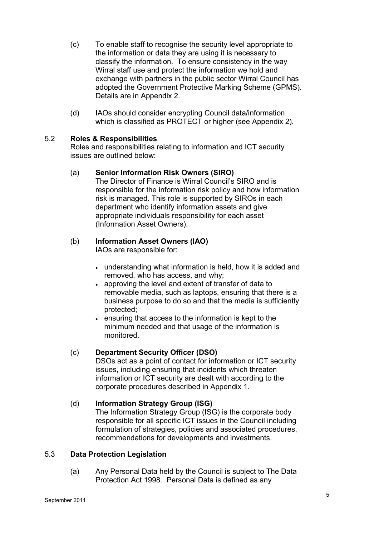- (c) To enable staff to recognise the security level appropriate to the information or data they are using it is necessary to classify the information. To ensure consistency in the way Wirral staff use and protect the information we hold and exchange with partners in the public sector Wirral Council has adopted the Government Protective Marking Scheme (GPMS). Details are in Appendix 2.
- (d) IAOs should consider encrypting Council data/information which is classified as PROTECT or higher (see Appendix 2).

# 5.2 **Roles & Responsibilities**

Roles and responsibilities relating to information and ICT security issues are outlined below:

# (a) **Senior Information Risk Owners (SIRO)**

The Director of Finance is Wirral Council's SIRO and is responsible for the information risk policy and how information risk is managed. This role is supported by SIROs in each department who identify information assets and give appropriate individuals responsibility for each asset (Information Asset Owners).

# (b) **Information Asset Owners (IAO)**

IAOs are responsible for:

- understanding what information is held, how it is added and removed, who has access, and why;
- approving the level and extent of transfer of data to removable media, such as laptops, ensuring that there is a business purpose to do so and that the media is sufficiently protected;
- ensuring that access to the information is kept to the minimum needed and that usage of the information is monitored.

# (c) **Department Security Officer (DSO)**

DSOs act as a point of contact for information or ICT security issues, including ensuring that incidents which threaten information or ICT security are dealt with according to the corporate procedures described in Appendix 1.

# (d) **Information Strategy Group (ISG)**

The Information Strategy Group (ISG) is the corporate body responsible for all specific ICT issues in the Council including formulation of strategies, policies and associated procedures, recommendations for developments and investments.

# 5.3 **Data Protection Legislation**

 (a) Any Personal Data held by the Council is subject to The Data Protection Act 1998. Personal Data is defined as any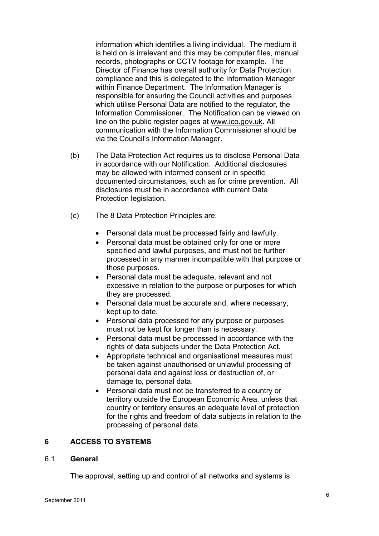information which identifies a living individual. The medium it is held on is irrelevant and this may be computer files, manual records, photographs or CCTV footage for example. The Director of Finance has overall authority for Data Protection compliance and this is delegated to the Information Manager within Finance Department. The Information Manager is responsible for ensuring the Council activities and purposes which utilise Personal Data are notified to the regulator, the Information Commissioner. The Notification can be viewed on line on the public register pages at www.ico.gov.uk. All communication with the Information Commissioner should be via the Council's Information Manager.

- (b) The Data Protection Act requires us to disclose Personal Data in accordance with our Notification. Additional disclosures may be allowed with informed consent or in specific documented circumstances, such as for crime prevention. All disclosures must be in accordance with current Data Protection legislation.
- (c) The 8 Data Protection Principles are:
	- Personal data must be processed fairly and lawfully.
	- Personal data must be obtained only for one or more specified and lawful purposes, and must not be further processed in any manner incompatible with that purpose or those purposes.
	- Personal data must be adequate, relevant and not excessive in relation to the purpose or purposes for which they are processed.
	- Personal data must be accurate and, where necessary, kept up to date.
	- Personal data processed for any purpose or purposes must not be kept for longer than is necessary.
	- Personal data must be processed in accordance with the rights of data subjects under the Data Protection Act.
	- Appropriate technical and organisational measures must be taken against unauthorised or unlawful processing of personal data and against loss or destruction of, or damage to, personal data.
	- Personal data must not be transferred to a country or territory outside the European Economic Area, unless that country or territory ensures an adequate level of protection for the rights and freedom of data subjects in relation to the processing of personal data.

#### **6 ACCESS TO SYSTEMS**

#### 6.1 **General**

The approval, setting up and control of all networks and systems is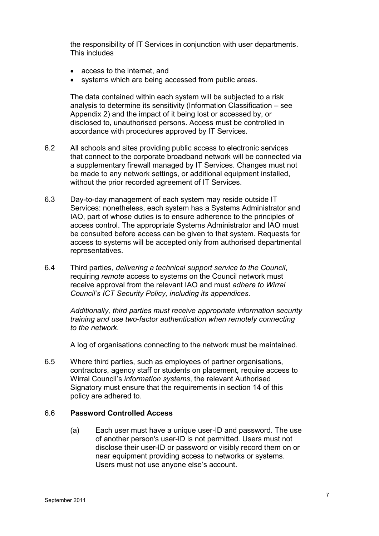the responsibility of IT Services in conjunction with user departments. This includes

- access to the internet, and
- systems which are being accessed from public areas.

The data contained within each system will be subjected to a risk analysis to determine its sensitivity (Information Classification – see Appendix 2) and the impact of it being lost or accessed by, or disclosed to, unauthorised persons. Access must be controlled in accordance with procedures approved by IT Services.

- 6.2 All schools and sites providing public access to electronic services that connect to the corporate broadband network will be connected via a supplementary firewall managed by IT Services. Changes must not be made to any network settings, or additional equipment installed, without the prior recorded agreement of IT Services.
- 6.3 Day-to-day management of each system may reside outside IT Services: nonetheless, each system has a Systems Administrator and IAO, part of whose duties is to ensure adherence to the principles of access control. The appropriate Systems Administrator and IAO must be consulted before access can be given to that system. Requests for access to systems will be accepted only from authorised departmental representatives.
- 6.4 Third parties, *delivering a technical support service to the Council*, requiring *remote* access to systems on the Council network must receive approval from the relevant IAO and must *adhere to Wirral Council's ICT Security Policy, including its appendices.*

*Additionally, third parties must receive appropriate information security training and use two-factor authentication when remotely connecting to the network.* 

A log of organisations connecting to the network must be maintained.

6.5 Where third parties, such as employees of partner organisations, contractors, agency staff or students on placement, require access to Wirral Council's *information systems*, the relevant Authorised Signatory must ensure that the requirements in section 14 of this policy are adhered to.

#### 6.6 **Password Controlled Access**

(a) Each user must have a unique user-ID and password. The use of another person's user-ID is not permitted. Users must not disclose their user-ID or password or visibly record them on or near equipment providing access to networks or systems. Users must not use anyone else's account.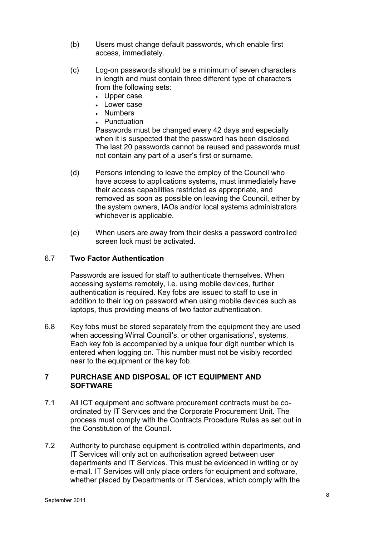- (b) Users must change default passwords, which enable first access, immediately.
- (c) Log-on passwords should be a minimum of seven characters in length and must contain three different type of characters from the following sets:
	- Upper case
	- Lower case
	- Numbers
	- Punctuation

Passwords must be changed every 42 days and especially when it is suspected that the password has been disclosed. The last 20 passwords cannot be reused and passwords must not contain any part of a user's first or surname.

- (d) Persons intending to leave the employ of the Council who have access to applications systems, must immediately have their access capabilities restricted as appropriate, and removed as soon as possible on leaving the Council, either by the system owners, IAOs and/or local systems administrators whichever is applicable.
- (e) When users are away from their desks a password controlled screen lock must be activated.

## 6.7 **Two Factor Authentication**

Passwords are issued for staff to authenticate themselves. When accessing systems remotely, i.e. using mobile devices, further authentication is required. Key fobs are issued to staff to use in addition to their log on password when using mobile devices such as laptops, thus providing means of two factor authentication.

6.8 Key fobs must be stored separately from the equipment they are used when accessing Wirral Council's, or other organisations', systems. Each key fob is accompanied by a unique four digit number which is entered when logging on. This number must not be visibly recorded near to the equipment or the key fob.

# **7 PURCHASE AND DISPOSAL OF ICT EQUIPMENT AND SOFTWARE**

- 7.1 All ICT equipment and software procurement contracts must be coordinated by IT Services and the Corporate Procurement Unit. The process must comply with the Contracts Procedure Rules as set out in the Constitution of the Council.
- 7.2 Authority to purchase equipment is controlled within departments, and IT Services will only act on authorisation agreed between user departments and IT Services. This must be evidenced in writing or by e-mail. IT Services will only place orders for equipment and software, whether placed by Departments or IT Services, which comply with the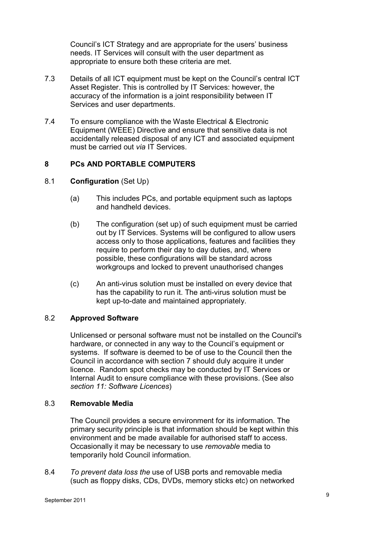Council's ICT Strategy and are appropriate for the users' business needs. IT Services will consult with the user department as appropriate to ensure both these criteria are met.

- 7.3 Details of all ICT equipment must be kept on the Council's central ICT Asset Register. This is controlled by IT Services: however, the accuracy of the information is a joint responsibility between IT Services and user departments.
- 7.4 To ensure compliance with the Waste Electrical & Electronic Equipment (WEEE) Directive and ensure that sensitive data is not accidentally released disposal of any ICT and associated equipment must be carried out *via* IT Services.

# **8 PCs AND PORTABLE COMPUTERS**

# 8.1 **Configuration** (Set Up)

- (a) This includes PCs, and portable equipment such as laptops and handheld devices.
- (b) The configuration (set up) of such equipment must be carried out by IT Services. Systems will be configured to allow users access only to those applications, features and facilities they require to perform their day to day duties, and, where possible, these configurations will be standard across workgroups and locked to prevent unauthorised changes
- (c) An anti-virus solution must be installed on every device that has the capability to run it. The anti-virus solution must be kept up-to-date and maintained appropriately.

# 8.2 **Approved Software**

Unlicensed or personal software must not be installed on the Council's hardware, or connected in any way to the Council's equipment or systems. If software is deemed to be of use to the Council then the Council in accordance with section 7 should duly acquire it under licence. Random spot checks may be conducted by IT Services or Internal Audit to ensure compliance with these provisions. (See also *section 11: Software Licences*)

# 8.3 **Removable Media**

The Council provides a secure environment for its information. The primary security principle is that information should be kept within this environment and be made available for authorised staff to access. Occasionally it may be necessary to use *removable* media to temporarily hold Council information.

8.4 *To prevent data loss the* use of USB ports and removable media (such as floppy disks, CDs, DVDs, memory sticks etc) on networked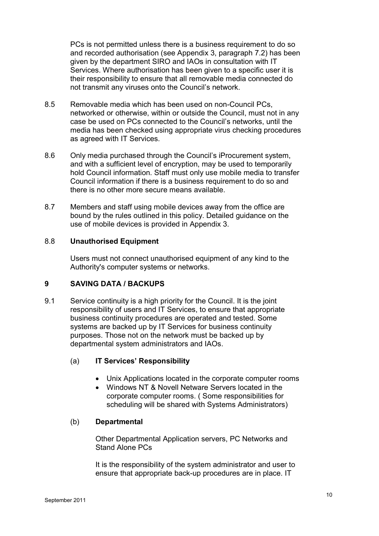PCs is not permitted unless there is a business requirement to do so and recorded authorisation (see Appendix 3, paragraph 7.2) has been given by the department SIRO and IAOs in consultation with IT Services. Where authorisation has been given to a specific user it is their responsibility to ensure that all removable media connected do not transmit any viruses onto the Council's network.

- 8.5 Removable media which has been used on non-Council PCs, networked or otherwise, within or outside the Council, must not in any case be used on PCs connected to the Council's networks, until the media has been checked using appropriate virus checking procedures as agreed with IT Services.
- 8.6 Only media purchased through the Council's iProcurement system, and with a sufficient level of encryption, may be used to temporarily hold Council information. Staff must only use mobile media to transfer Council information if there is a business requirement to do so and there is no other more secure means available.
- 8.7 Members and staff using mobile devices away from the office are bound by the rules outlined in this policy. Detailed guidance on the use of mobile devices is provided in Appendix 3.

# 8.8 **Unauthorised Equipment**

Users must not connect unauthorised equipment of any kind to the Authority's computer systems or networks.

# **9 SAVING DATA / BACKUPS**

9.1 Service continuity is a high priority for the Council. It is the joint responsibility of users and IT Services, to ensure that appropriate business continuity procedures are operated and tested. Some systems are backed up by IT Services for business continuity purposes. Those not on the network must be backed up by departmental system administrators and IAOs.

# (a) **IT Services' Responsibility**

- Unix Applications located in the corporate computer rooms
- Windows NT & Novell Netware Servers located in the corporate computer rooms. ( Some responsibilities for scheduling will be shared with Systems Administrators)

# (b) **Departmental**

Other Departmental Application servers, PC Networks and Stand Alone PCs

It is the responsibility of the system administrator and user to ensure that appropriate back-up procedures are in place. IT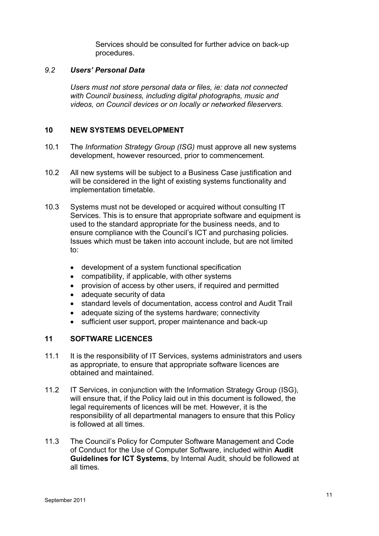Services should be consulted for further advice on back-up procedures.

# *9.2 Users' Personal Data*

*Users must not store personal data or files, ie: data not connected with Council business, including digital photographs, music and videos, on Council devices or on locally or networked fileservers.* 

# **10 NEW SYSTEMS DEVELOPMENT**

- 10.1 The *Information Strategy Group (ISG)* must approve all new systems development, however resourced, prior to commencement.
- 10.2 All new systems will be subject to a Business Case justification and will be considered in the light of existing systems functionality and implementation timetable.
- 10.3 Systems must not be developed or acquired without consulting IT Services. This is to ensure that appropriate software and equipment is used to the standard appropriate for the business needs, and to ensure compliance with the Council's ICT and purchasing policies. Issues which must be taken into account include, but are not limited to:
	- development of a system functional specification
	- compatibility, if applicable, with other systems
	- provision of access by other users, if required and permitted
	- adequate security of data
	- standard levels of documentation, access control and Audit Trail
	- adequate sizing of the systems hardware; connectivity
	- sufficient user support, proper maintenance and back-up

# **11 SOFTWARE LICENCES**

- 11.1 It is the responsibility of IT Services, systems administrators and users as appropriate, to ensure that appropriate software licences are obtained and maintained.
- 11.2 IT Services, in conjunction with the Information Strategy Group (ISG), will ensure that, if the Policy laid out in this document is followed, the legal requirements of licences will be met. However, it is the responsibility of all departmental managers to ensure that this Policy is followed at all times.
- 11.3 The Council's Policy for Computer Software Management and Code of Conduct for the Use of Computer Software, included within **Audit Guidelines for ICT Systems**, by Internal Audit, should be followed at all times.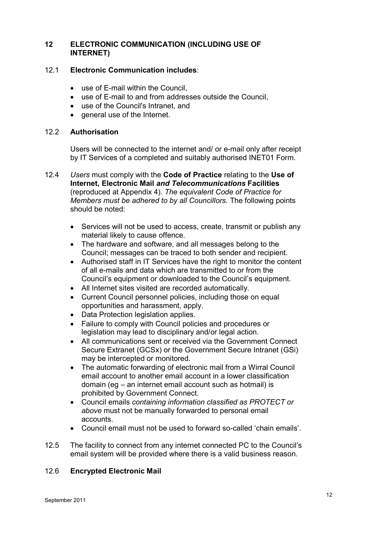# **12 ELECTRONIC COMMUNICATION (INCLUDING USE OF INTERNET)**

# 12.1 **Electronic Communication includes**:

- use of E-mail within the Council.
- use of E-mail to and from addresses outside the Council,
- use of the Council's Intranet, and
- general use of the Internet.

# 12.2 **Authorisation**

Users will be connected to the internet and/ or e-mail only after receipt by IT Services of a completed and suitably authorised INET01 Form.

- 12.4 *Users* must comply with the **Code of Practice** relating to the **Use of Internet, Electronic Mail** *and Telecommunications* **Facilities** (reproduced at Appendix 4). *The equivalent Code of Practice for Members must be adhered to by all Councillors.* The following points should be noted:
	- Services will not be used to access, create, transmit or publish any material likely to cause offence.
	- The hardware and software, and all messages belong to the Council; messages can be traced to both sender and recipient.
	- Authorised staff in IT Services have the right to monitor the content of all e-mails and data which are transmitted to or from the Council's equipment or downloaded to the Council's equipment.
	- All Internet sites visited are recorded automatically.
	- Current Council personnel policies, including those on equal opportunities and harassment, apply.
	- Data Protection legislation applies.
	- Failure to comply with Council policies and procedures or legislation may lead to disciplinary and/or legal action.
	- All communications sent or received via the Government Connect Secure Extranet (GCSx) or the Government Secure Intranet (GSi) may be intercepted or monitored.
	- The automatic forwarding of electronic mail from a Wirral Council email account to another email account in a lower classification domain (eg – an internet email account such as hotmail) is prohibited by Government Connect.
	- Council emails *containing information classified as PROTECT or above* must not be manually forwarded to personal email accounts.
	- Council email must not be used to forward so-called 'chain emails'.
- 12.5 The facility to connect from any internet connected PC to the Council's email system will be provided where there is a valid business reason.

# 12.6 **Encrypted Electronic Mail**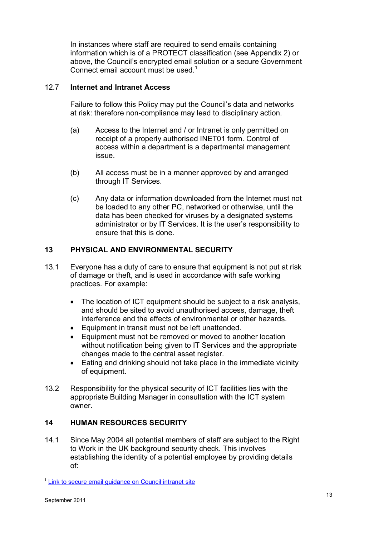In instances where staff are required to send emails containing information which is of a PROTECT classification (see Appendix 2) or above, the Council's encrypted email solution or a secure Government Connect email account must be used.<sup>1</sup>

# 12.7 **Internet and Intranet Access**

 Failure to follow this Policy may put the Council's data and networks at risk: therefore non-compliance may lead to disciplinary action.

- (a) Access to the Internet and / or Intranet is only permitted on receipt of a properly authorised INET01 form. Control of access within a department is a departmental management issue.
- (b) All access must be in a manner approved by and arranged through IT Services.
- (c) Any data or information downloaded from the Internet must not be loaded to any other PC, networked or otherwise, until the data has been checked for viruses by a designated systems administrator or by IT Services. It is the user's responsibility to ensure that this is done.

# **13 PHYSICAL AND ENVIRONMENTAL SECURITY**

- 13.1 Everyone has a duty of care to ensure that equipment is not put at risk of damage or theft, and is used in accordance with safe working practices. For example:
	- The location of ICT equipment should be subject to a risk analysis, and should be sited to avoid unauthorised access, damage, theft interference and the effects of environmental or other hazards.
	- Equipment in transit must not be left unattended.
	- Equipment must not be removed or moved to another location without notification being given to IT Services and the appropriate changes made to the central asset register.
	- Eating and drinking should not take place in the immediate vicinity of equipment.
- 13.2 Responsibility for the physical security of ICT facilities lies with the appropriate Building Manager in consultation with the ICT system owner.

# **14 HUMAN RESOURCES SECURITY**

14.1 Since May 2004 all potential members of staff are subject to the Right to Work in the UK background security check. This involves establishing the identity of a potential employee by providing details of:

L

<sup>&</sup>lt;sup>1</sup> Link to secure email guidance on Council intranet site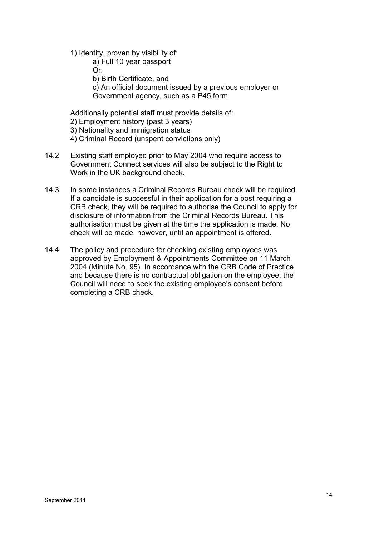- 1) Identity, proven by visibility of:
	- a) Full 10 year passport Or:
	- b) Birth Certificate, and
	- c) An official document issued by a previous employer or Government agency, such as a P45 form

Additionally potential staff must provide details of:

- 2) Employment history (past 3 years)
- 3) Nationality and immigration status
- 4) Criminal Record (unspent convictions only)
- 14.2 Existing staff employed prior to May 2004 who require access to Government Connect services will also be subject to the Right to Work in the UK background check.
- 14.3 In some instances a Criminal Records Bureau check will be required. If a candidate is successful in their application for a post requiring a CRB check, they will be required to authorise the Council to apply for disclosure of information from the Criminal Records Bureau. This authorisation must be given at the time the application is made. No check will be made, however, until an appointment is offered.
- 14.4 The policy and procedure for checking existing employees was approved by Employment & Appointments Committee on 11 March 2004 (Minute No. 95). In accordance with the CRB Code of Practice and because there is no contractual obligation on the employee, the Council will need to seek the existing employee's consent before completing a CRB check.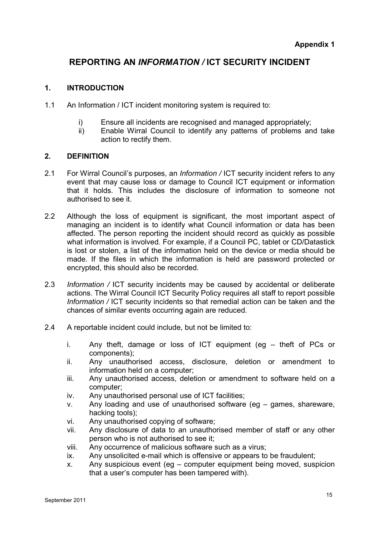# **REPORTING AN** *INFORMATION /* **ICT SECURITY INCIDENT**

# **1. INTRODUCTION**

- 1.1 An Information / ICT incident monitoring system is required to:
	- i) Ensure all incidents are recognised and managed appropriately;
	- ii) Enable Wirral Council to identify any patterns of problems and take action to rectify them.

# **2. DEFINITION**

- 2.1 For Wirral Council's purposes, an *Information /* ICT security incident refers to any event that may cause loss or damage to Council ICT equipment or information that it holds. This includes the disclosure of information to someone not authorised to see it.
- 2.2 Although the loss of equipment is significant, the most important aspect of managing an incident is to identify what Council information or data has been affected. The person reporting the incident should record as quickly as possible what information is involved. For example, if a Council PC, tablet or CD/Datastick is lost or stolen, a list of the information held on the device or media should be made. If the files in which the information is held are password protected or encrypted, this should also be recorded.
- 2.3 *Information /* ICT security incidents may be caused by accidental or deliberate actions. The Wirral Council ICT Security Policy requires all staff to report possible *Information /* ICT security incidents so that remedial action can be taken and the chances of similar events occurring again are reduced.
- 2.4 A reportable incident could include, but not be limited to:
	- i. Any theft, damage or loss of ICT equipment (eg theft of PCs or components);
	- ii. Any unauthorised access, disclosure, deletion or amendment to information held on a computer;
	- iii. Any unauthorised access, deletion or amendment to software held on a computer;
	- iv. Any unauthorised personal use of ICT facilities;
	- v. Any loading and use of unauthorised software (eg games, shareware, hacking tools);
	- vi. Any unauthorised copying of software;
	- vii. Any disclosure of data to an unauthorised member of staff or any other person who is not authorised to see it;
	- viii. Any occurrence of malicious software such as a virus;
	- ix. Any unsolicited e-mail which is offensive or appears to be fraudulent;
	- x. Any suspicious event (eg computer equipment being moved, suspicion that a user's computer has been tampered with).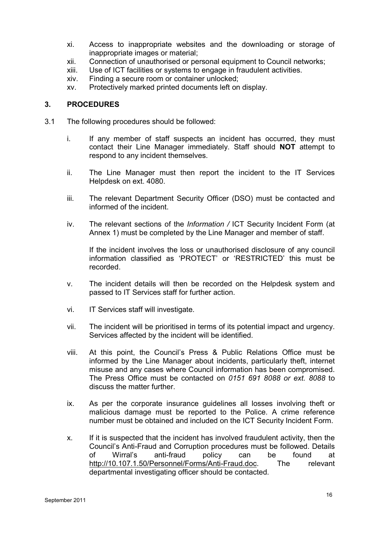- xi. Access to inappropriate websites and the downloading or storage of inappropriate images or material;
- xii. Connection of unauthorised or personal equipment to Council networks;
- xiii. Use of ICT facilities or systems to engage in fraudulent activities.
- xiv. Finding a secure room or container unlocked;
- xv. Protectively marked printed documents left on display.

# **3. PROCEDURES**

- 3.1 The following procedures should be followed:
	- i. If any member of staff suspects an incident has occurred, they must contact their Line Manager immediately. Staff should **NOT** attempt to respond to any incident themselves.
	- ii. The Line Manager must then report the incident to the IT Services Helpdesk on ext. 4080.
	- iii. The relevant Department Security Officer (DSO) must be contacted and informed of the incident.
	- iv. The relevant sections of the *Information /* ICT Security Incident Form (at Annex 1) must be completed by the Line Manager and member of staff.

If the incident involves the loss or unauthorised disclosure of any council information classified as 'PROTECT' or 'RESTRICTED' this must be recorded.

- v. The incident details will then be recorded on the Helpdesk system and passed to IT Services staff for further action.
- vi. IT Services staff will investigate.
- vii. The incident will be prioritised in terms of its potential impact and urgency. Services affected by the incident will be identified.
- viii. At this point, the Council's Press & Public Relations Office must be informed by the Line Manager about incidents, particularly theft, internet misuse and any cases where Council information has been compromised. The Press Office must be contacted on *0151 691 8088 or ext. 8088* to discuss the matter further.
- ix. As per the corporate insurance guidelines all losses involving theft or malicious damage must be reported to the Police. A crime reference number must be obtained and included on the ICT Security Incident Form.
- x. If it is suspected that the incident has involved fraudulent activity, then the Council's Anti-Fraud and Corruption procedures must be followed. Details of Wirral's anti-fraud policy can be found at http://10.107.1.50/Personnel/Forms/Anti-Fraud.doc. The relevant departmental investigating officer should be contacted.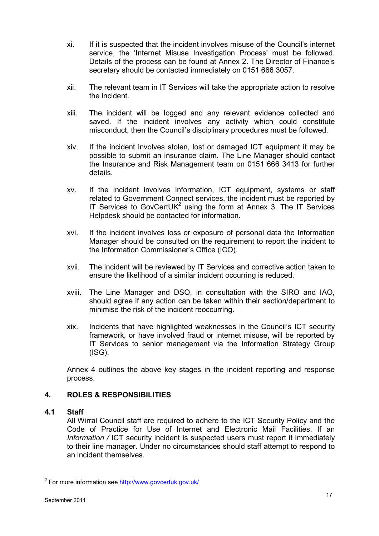- xi. If it is suspected that the incident involves misuse of the Council's internet service, the 'Internet Misuse Investigation Process' must be followed. Details of the process can be found at Annex 2. The Director of Finance's secretary should be contacted immediately on 0151 666 3057.
- xii. The relevant team in IT Services will take the appropriate action to resolve the incident.
- xiii. The incident will be logged and any relevant evidence collected and saved. If the incident involves any activity which could constitute misconduct, then the Council's disciplinary procedures must be followed.
- xiv. If the incident involves stolen, lost or damaged ICT equipment it may be possible to submit an insurance claim. The Line Manager should contact the Insurance and Risk Management team on 0151 666 3413 for further details.
- xv. If the incident involves information, ICT equipment, systems or staff related to Government Connect services, the incident must be reported by IT Services to GovCertUK<sup>2</sup> using the form at Annex 3. The IT Services Helpdesk should be contacted for information.
- xvi. If the incident involves loss or exposure of personal data the Information Manager should be consulted on the requirement to report the incident to the Information Commissioner's Office (ICO).
- xvii. The incident will be reviewed by IT Services and corrective action taken to ensure the likelihood of a similar incident occurring is reduced.
- xviii. The Line Manager and DSO, in consultation with the SIRO and IAO, should agree if any action can be taken within their section/department to minimise the risk of the incident reoccurring.
- xix. Incidents that have highlighted weaknesses in the Council's ICT security framework, or have involved fraud or internet misuse, will be reported by IT Services to senior management via the Information Strategy Group (ISG).

Annex 4 outlines the above key stages in the incident reporting and response process.

# **4. ROLES & RESPONSIBILITIES**

# **4.1 Staff**

All Wirral Council staff are required to adhere to the ICT Security Policy and the Code of Practice for Use of Internet and Electronic Mail Facilities. If an *Information /* ICT security incident is suspected users must report it immediately to their line manager. Under no circumstances should staff attempt to respond to an incident themselves.

L

<sup>&</sup>lt;sup>2</sup> For more information see http://www.govcertuk.gov.uk/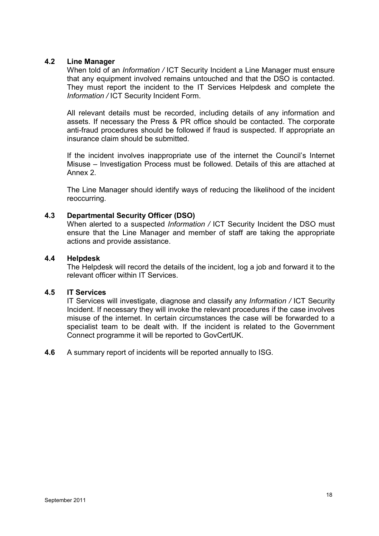# **4.2 Line Manager**

When told of an *Information /* ICT Security Incident a Line Manager must ensure that any equipment involved remains untouched and that the DSO is contacted. They must report the incident to the IT Services Helpdesk and complete the *Information /* ICT Security Incident Form.

All relevant details must be recorded, including details of any information and assets. If necessary the Press & PR office should be contacted. The corporate anti-fraud procedures should be followed if fraud is suspected. If appropriate an insurance claim should be submitted.

If the incident involves inappropriate use of the internet the Council's Internet Misuse – Investigation Process must be followed. Details of this are attached at Annex 2.

The Line Manager should identify ways of reducing the likelihood of the incident reoccurring.

# **4.3 Departmental Security Officer (DSO)**

When alerted to a suspected *Information /* ICT Security Incident the DSO must ensure that the Line Manager and member of staff are taking the appropriate actions and provide assistance.

# **4.4 Helpdesk**

The Helpdesk will record the details of the incident, log a job and forward it to the relevant officer within IT Services.

# **4.5 IT Services**

IT Services will investigate, diagnose and classify any *Information /* ICT Security Incident. If necessary they will invoke the relevant procedures if the case involves misuse of the internet. In certain circumstances the case will be forwarded to a specialist team to be dealt with. If the incident is related to the Government Connect programme it will be reported to GovCertUK.

# **4.6** A summary report of incidents will be reported annually to ISG.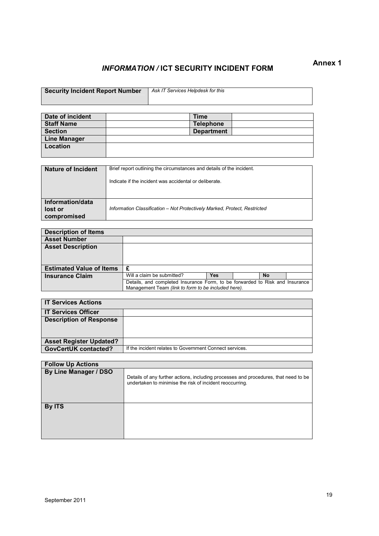# *INFORMATION /* **ICT SECURITY INCIDENT FORM Annex 1**

| <b>Security Incident Report Number</b> | Ask IT Services Helpdesk for this |
|----------------------------------------|-----------------------------------|
|                                        |                                   |
|                                        |                                   |
|                                        |                                   |
|                                        |                                   |

| Date of incident    | <b>Time</b>       |  |
|---------------------|-------------------|--|
| <b>Staff Name</b>   | <b>Telephone</b>  |  |
| <b>Section</b>      | <b>Department</b> |  |
| <b>Line Manager</b> |                   |  |
| Location            |                   |  |
|                     |                   |  |

| Nature of Incident                         | Brief report outlining the circumstances and details of the incident.<br>Indicate if the incident was accidental or deliberate. |
|--------------------------------------------|---------------------------------------------------------------------------------------------------------------------------------|
| Information/data<br>lost or<br>compromised | Information Classification - Not Protectively Marked, Protect, Restricted                                                       |

| <b>Description of Items</b>     |                                                                                                                                     |     |  |           |  |
|---------------------------------|-------------------------------------------------------------------------------------------------------------------------------------|-----|--|-----------|--|
| <b>Asset Number</b>             |                                                                                                                                     |     |  |           |  |
| <b>Asset Description</b>        |                                                                                                                                     |     |  |           |  |
|                                 |                                                                                                                                     |     |  |           |  |
|                                 |                                                                                                                                     |     |  |           |  |
| <b>Estimated Value of Items</b> | £                                                                                                                                   |     |  |           |  |
| <b>Insurance Claim</b>          | Will a claim be submitted?                                                                                                          | Yes |  | <b>No</b> |  |
|                                 | Details, and completed Insurance Form, to be forwarded to Risk and Insurance<br>Management Team (link to form to be included here). |     |  |           |  |

| <b>IT Services Actions</b>     |                                                         |  |
|--------------------------------|---------------------------------------------------------|--|
| <b>IT Services Officer</b>     |                                                         |  |
| <b>Description of Response</b> |                                                         |  |
| <b>Asset Register Updated?</b> |                                                         |  |
| <b>GovCertUK contacted?</b>    | If the incident relates to Government Connect services. |  |

| <b>Follow Up Actions</b> |                                                                                                                                                 |  |  |
|--------------------------|-------------------------------------------------------------------------------------------------------------------------------------------------|--|--|
| By Line Manager / DSO    | Details of any further actions, including processes and procedures, that need to be<br>undertaken to minimise the risk of incident reoccurring. |  |  |
| <b>By ITS</b>            |                                                                                                                                                 |  |  |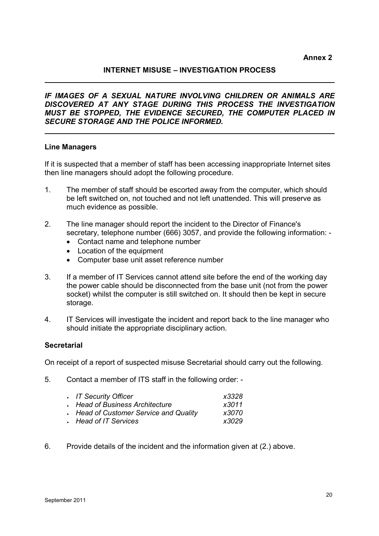**Annex 2** 

# **INTERNET MISUSE – INVESTIGATION PROCESS**

*IF IMAGES OF A SEXUAL NATURE INVOLVING CHILDREN OR ANIMALS ARE DISCOVERED AT ANY STAGE DURING THIS PROCESS THE INVESTIGATION MUST BE STOPPED, THE EVIDENCE SECURED, THE COMPUTER PLACED IN SECURE STORAGE AND THE POLICE INFORMED.* 

### **Line Managers**

If it is suspected that a member of staff has been accessing inappropriate Internet sites then line managers should adopt the following procedure.

- 1. The member of staff should be escorted away from the computer, which should be left switched on, not touched and not left unattended. This will preserve as much evidence as possible.
- 2. The line manager should report the incident to the Director of Finance's secretary, telephone number (666) 3057, and provide the following information: -
	- Contact name and telephone number
	- Location of the equipment
	- Computer base unit asset reference number
- 3. If a member of IT Services cannot attend site before the end of the working day the power cable should be disconnected from the base unit (not from the power socket) whilst the computer is still switched on. It should then be kept in secure storage.
- 4. IT Services will investigate the incident and report back to the line manager who should initiate the appropriate disciplinary action.

# **Secretarial**

On receipt of a report of suspected misuse Secretarial should carry out the following.

5. Contact a member of ITS staff in the following order: -

| . IT Security Officer                  | x3328 |
|----------------------------------------|-------|
| . Head of Business Architecture        | x3011 |
| . Head of Customer Service and Quality | x3070 |
| Head of IT Services                    | x3029 |

6. Provide details of the incident and the information given at (2.) above.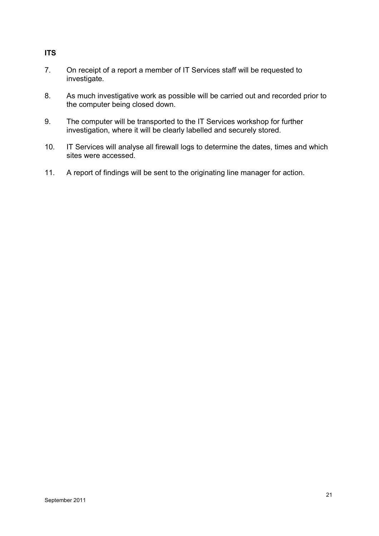# **ITS**

- 7. On receipt of a report a member of IT Services staff will be requested to investigate.
- 8. As much investigative work as possible will be carried out and recorded prior to the computer being closed down.
- 9. The computer will be transported to the IT Services workshop for further investigation, where it will be clearly labelled and securely stored.
- 10. IT Services will analyse all firewall logs to determine the dates, times and which sites were accessed.
- 11. A report of findings will be sent to the originating line manager for action.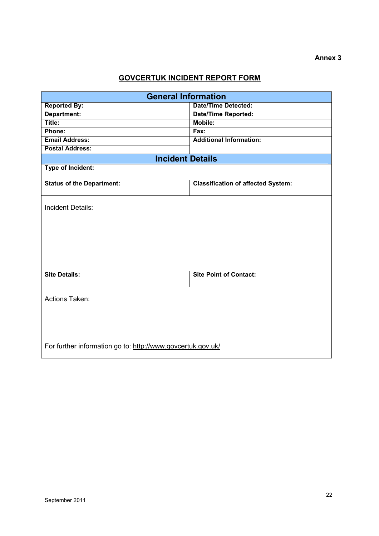# **GOVCERTUK INCIDENT REPORT FORM**

| <b>General Information</b>                                  |                                           |  |  |
|-------------------------------------------------------------|-------------------------------------------|--|--|
| <b>Reported By:</b>                                         | <b>Date/Time Detected:</b>                |  |  |
| Department:                                                 | <b>Date/Time Reported:</b>                |  |  |
| Title:                                                      | Mobile:                                   |  |  |
| Phone:                                                      | Fax:                                      |  |  |
| <b>Email Address:</b>                                       | <b>Additional Information:</b>            |  |  |
| <b>Postal Address:</b>                                      |                                           |  |  |
| <b>Incident Details</b>                                     |                                           |  |  |
| Type of Incident:                                           |                                           |  |  |
|                                                             |                                           |  |  |
| <b>Status of the Department:</b>                            | <b>Classification of affected System:</b> |  |  |
|                                                             |                                           |  |  |
| <b>Incident Details:</b>                                    |                                           |  |  |
|                                                             |                                           |  |  |
|                                                             |                                           |  |  |
|                                                             |                                           |  |  |
|                                                             |                                           |  |  |
|                                                             |                                           |  |  |
|                                                             |                                           |  |  |
|                                                             |                                           |  |  |
| <b>Site Details:</b>                                        | <b>Site Point of Contact:</b>             |  |  |
|                                                             |                                           |  |  |
| <b>Actions Taken:</b>                                       |                                           |  |  |
|                                                             |                                           |  |  |
|                                                             |                                           |  |  |
|                                                             |                                           |  |  |
|                                                             |                                           |  |  |
|                                                             |                                           |  |  |
| For further information go to: http://www.govcertuk.gov.uk/ |                                           |  |  |
|                                                             |                                           |  |  |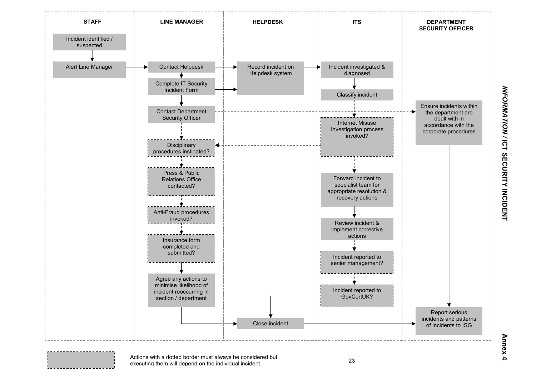

**INFORMATION / ICT SECURITY INCIDENT Annex 4** *INFORMATION /* **ICT SECURITY INCIDENT** 

# Annex 4

Actions with a dotted border must always be considered but executing them will depend on the individual incident.

. . . . . . . . . . . . .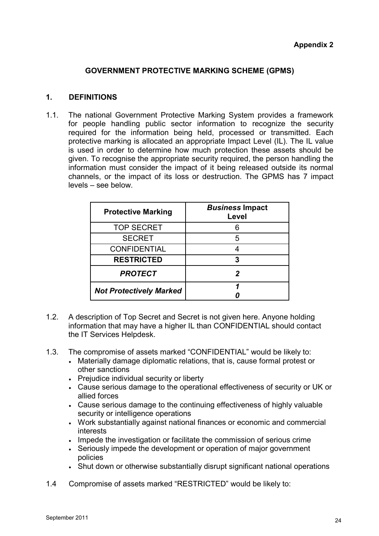# **GOVERNMENT PROTECTIVE MARKING SCHEME (GPMS)**

# **1. DEFINITIONS**

1.1. The national Government Protective Marking System provides a framework for people handling public sector information to recognize the security required for the information being held, processed or transmitted. Each protective marking is allocated an appropriate Impact Level (IL). The IL value is used in order to determine how much protection these assets should be given. To recognise the appropriate security required, the person handling the information must consider the impact of it being released outside its normal channels, or the impact of its loss or destruction. The GPMS has 7 impact levels – see below.

| <b>Protective Marking</b>      | <b>Business Impact</b><br>Level |
|--------------------------------|---------------------------------|
| <b>TOP SECRET</b>              |                                 |
| <b>SECRET</b>                  | 5                               |
| <b>CONFIDENTIAL</b>            |                                 |
| <b>RESTRICTED</b>              |                                 |
| <b>PROTECT</b>                 |                                 |
| <b>Not Protectively Marked</b> |                                 |

- 1.2. A description of Top Secret and Secret is not given here. Anyone holding information that may have a higher IL than CONFIDENTIAL should contact the IT Services Helpdesk.
- 1.3. The compromise of assets marked "CONFIDENTIAL" would be likely to:
	- Materially damage diplomatic relations, that is, cause formal protest or other sanctions
	- Prejudice individual security or liberty
	- Cause serious damage to the operational effectiveness of security or UK or allied forces
	- Cause serious damage to the continuing effectiveness of highly valuable security or intelligence operations
	- Work substantially against national finances or economic and commercial interests
	- Impede the investigation or facilitate the commission of serious crime
	- Seriously impede the development or operation of major government policies
	- Shut down or otherwise substantially disrupt significant national operations
- 1.4 Compromise of assets marked "RESTRICTED" would be likely to: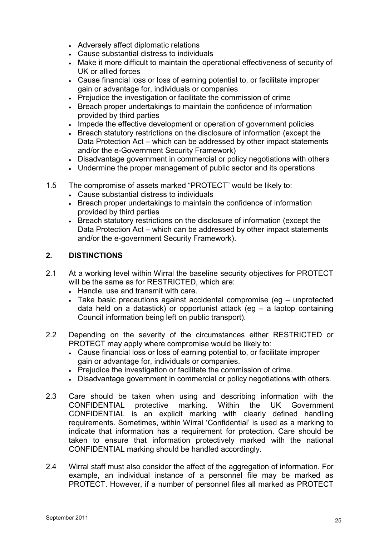- Adversely affect diplomatic relations
- Cause substantial distress to individuals
- Make it more difficult to maintain the operational effectiveness of security of UK or allied forces
- Cause financial loss or loss of earning potential to, or facilitate improper gain or advantage for, individuals or companies
- Prejudice the investigation or facilitate the commission of crime
- Breach proper undertakings to maintain the confidence of information provided by third parties
- Impede the effective development or operation of government policies
- Breach statutory restrictions on the disclosure of information (except the Data Protection Act – which can be addressed by other impact statements and/or the e-Government Security Framework)
- Disadvantage government in commercial or policy negotiations with others
- Undermine the proper management of public sector and its operations
- 1.5 The compromise of assets marked "PROTECT" would be likely to:
	- Cause substantial distress to individuals
	- Breach proper undertakings to maintain the confidence of information provided by third parties
	- Breach statutory restrictions on the disclosure of information (except the Data Protection Act – which can be addressed by other impact statements and/or the e-government Security Framework).

# **2. DISTINCTIONS**

- 2.1 At a working level within Wirral the baseline security objectives for PROTECT will be the same as for RESTRICTED, which are:
	- Handle, use and transmit with care.
	- Take basic precautions against accidental compromise (eg unprotected data held on a datastick) or opportunist attack (eg – a laptop containing Council information being left on public transport).
- 2.2 Depending on the severity of the circumstances either RESTRICTED or PROTECT may apply where compromise would be likely to:
	- Cause financial loss or loss of earning potential to, or facilitate improper gain or advantage for, individuals or companies.
	- Prejudice the investigation or facilitate the commission of crime.
	- Disadvantage government in commercial or policy negotiations with others.
- 2.3 Care should be taken when using and describing information with the CONFIDENTIAL protective marking. Within the UK Government CONFIDENTIAL protective marking. CONFIDENTIAL is an explicit marking with clearly defined handling requirements. Sometimes, within Wirral 'Confidential' is used as a marking to indicate that information has a requirement for protection. Care should be taken to ensure that information protectively marked with the national CONFIDENTIAL marking should be handled accordingly.
- 2.4 Wirral staff must also consider the affect of the aggregation of information. For example, an individual instance of a personnel file may be marked as PROTECT. However, if a number of personnel files all marked as PROTECT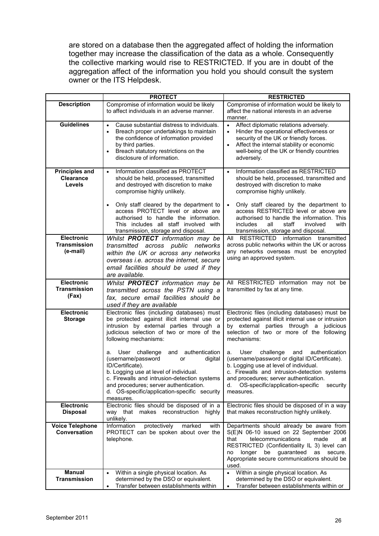are stored on a database then the aggregated affect of holding the information together may increase the classification of the data as a whole. Consequently the collective marking would rise to RESTRICTED. If you are in doubt of the aggregation affect of the information you hold you should consult the system owner or the ITS Helpdesk.

|                                                      | <b>PROTECT</b>                                                                                                                                                                                                                                                                                         | <b>RESTRICTED</b>                                                                                                                                                                                                                                                                                         |
|------------------------------------------------------|--------------------------------------------------------------------------------------------------------------------------------------------------------------------------------------------------------------------------------------------------------------------------------------------------------|-----------------------------------------------------------------------------------------------------------------------------------------------------------------------------------------------------------------------------------------------------------------------------------------------------------|
| <b>Description</b>                                   | Compromise of information would be likely<br>to affect individuals in an adverse manner.                                                                                                                                                                                                               | Compromise of information would be likely to<br>affect the national interests in an adverse<br>manner.                                                                                                                                                                                                    |
| <b>Guidelines</b>                                    | Cause substantial distress to individuals.<br>$\bullet$<br>Breach proper undertakings to maintain<br>$\bullet$<br>the confidence of information provided<br>by third parties.<br>Breach statutory restrictions on the<br>$\bullet$<br>disclosure of information.                                       | $\bullet$<br>Affect diplomatic relations adversely.<br>Hinder the operational effectiveness or<br>$\bullet$<br>security of the UK or friendly forces.<br>Affect the internal stability or economic<br>well-being of the UK or friendly countries<br>adversely.                                            |
| <b>Principles and</b><br><b>Clearance</b><br>Levels  | Information classified as PROTECT<br>$\bullet$<br>should be held, processed, transmitted<br>and destroyed with discretion to make<br>compromise highly unlikely.                                                                                                                                       | Information classified as RESTRICTED<br>$\bullet$<br>should be held, processed, transmitted and<br>destroyed with discretion to make<br>compromise highly unlikely.                                                                                                                                       |
|                                                      | Only staff cleared by the department to<br>$\bullet$<br>access PROTECT level or above are<br>authorised to handle the information.<br>This includes all staff involved with<br>transmission, storage and disposal.                                                                                     | Only staff cleared by the department to<br>access RESTRICTED level or above are<br>authorised to handle the information. This<br>includes<br>all<br>staff<br>involved<br>with<br>transmission, storage and disposal.                                                                                      |
| <b>Electronic</b><br><b>Transmission</b><br>(e-mail) | Whilst PROTECT information may be<br>transmitted across public<br>networks<br>within the UK or across any networks<br>overseas i.e. across the internet, secure<br>email facilities should be used if they<br>are available.                                                                           | All RESTRICTED information transmitted<br>across public networks within the UK or across<br>any networks overseas must be encrypted<br>using an approved system.                                                                                                                                          |
| <b>Electronic</b><br><b>Transmission</b><br>(Fax)    | Whilst PROTECT information may be<br>transmitted across the PSTN using a<br>fax, secure email facilities should be<br>used if they are available                                                                                                                                                       | All RESTRICTED information may not be<br>transmitted by fax at any time.                                                                                                                                                                                                                                  |
| <b>Electronic</b><br><b>Storage</b>                  | Electronic files (including databases) must<br>be protected against illicit internal use or<br>intrusion by external parties through a<br>judicious selection of two or more of the<br>following mechanisms:                                                                                           | Electronic files (including databases) must be<br>protected against illicit internal use or intrusion<br>by external parties through a judicious<br>selection of two or more of the following<br>mechanisms:                                                                                              |
|                                                      | User challenge<br>and authentication<br>a.<br>(username/password<br>digital<br>or<br>ID/Certificate).<br>b. Logging use at level of individual.<br>c. Firewalls and intrusion-detection systems<br>and procedures; server authentication.<br>d. OS-specific/application-specific security<br>measures. | challenge<br>authentication<br>User<br>and<br>a.<br>(username/password or digital ID/Certificate).<br>b. Logging use at level of individual.<br>c. Firewalls and intrusion-detection systems<br>and procedures; server authentication.<br>OS-specific/application-specific<br>d.<br>security<br>measures. |
| <b>Electronic</b><br><b>Disposal</b>                 | Electronic files should be disposed of in a<br>way that makes reconstruction<br>highly<br>unlikely.                                                                                                                                                                                                    | Electronic files should be disposed of in a way<br>that makes reconstruction highly unlikely.                                                                                                                                                                                                             |
| <b>Voice Telephone</b><br>Conversation               | protectively<br>Information<br>marked<br>with<br>PROTECT can be spoken about over the<br>telephone.                                                                                                                                                                                                    | Departments should already be aware from<br>S(E)N 06-10 issued on 22 September 2006<br>telecommunications<br>made<br>that<br>at<br>RESTRICTED (Confidentiality IL 3) level can<br>be guaranteed<br>longer<br>as<br>secure.<br>no<br>Appropriate secure communications should be<br>used.                  |
| <b>Manual</b><br><b>Transmission</b>                 | Within a single physical location. As<br>$\bullet$<br>determined by the DSO or equivalent.<br>Transfer between establishments within<br>$\bullet$                                                                                                                                                      | Within a single physical location. As<br>$\bullet$<br>determined by the DSO or equivalent.<br>Transfer between establishments within or<br>$\bullet$                                                                                                                                                      |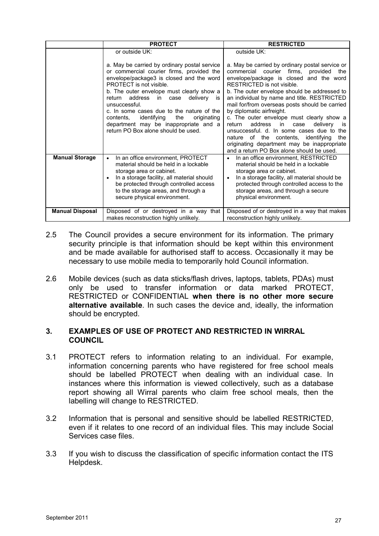|                        | <b>PROTECT</b>                                                                                                                                                                                                                                                                                                                                                | <b>RESTRICTED</b>                                                                                                                                                                                                                                                                                                                                                  |
|------------------------|---------------------------------------------------------------------------------------------------------------------------------------------------------------------------------------------------------------------------------------------------------------------------------------------------------------------------------------------------------------|--------------------------------------------------------------------------------------------------------------------------------------------------------------------------------------------------------------------------------------------------------------------------------------------------------------------------------------------------------------------|
|                        | or outside UK:<br>a. May be carried by ordinary postal service<br>or commercial courier firms, provided the<br>envelope/package3 is closed and the word<br>PROTECT is not visible.<br>b. The outer envelope must clearly show a<br>address<br>deliverv<br>return<br>$\mathsf{in}$<br>case<br>İS<br>unsuccessful.<br>c. In some cases due to the nature of the | outside UK:<br>a. May be carried by ordinary postal service or<br>commercial courier firms, provided<br>the<br>envelope/package is closed and the word<br>RESTRICTED is not visible.<br>b. The outer envelope should be addressed to<br>an individual by name and title. RESTRICTED<br>mail for/from overseas posts should be carried<br>by diplomatic airfreight. |
|                        | identifying<br>originating<br>contents.<br>the<br>department may be inappropriate and a<br>return PO Box alone should be used.                                                                                                                                                                                                                                | c. The outer envelope must clearly show a<br>address<br>return<br>in<br>delivery<br>case<br>is<br>unsuccessful, d. In some cases due to the<br>nature of the contents,<br>identifying<br>the<br>originating department may be inappropriate<br>and a return PO Box alone should be used.                                                                           |
| <b>Manual Storage</b>  | In an office environment, PROTECT<br>material should be held in a lockable<br>storage area or cabinet.<br>In a storage facility, all material should<br>٠<br>be protected through controlled access<br>to the storage areas, and through a<br>secure physical environment.                                                                                    | In an office environment, RESTRICTED<br>$\bullet$<br>material should be held in a lockable<br>storage area or cabinet.<br>In a storage facility, all material should be<br>$\bullet$<br>protected through controlled access to the<br>storage areas, and through a secure<br>physical environment.                                                                 |
| <b>Manual Disposal</b> | Disposed of or destroyed in a way that<br>makes reconstruction highly unlikely.                                                                                                                                                                                                                                                                               | Disposed of or destroyed in a way that makes<br>reconstruction highly unlikely.                                                                                                                                                                                                                                                                                    |

- 2.5 The Council provides a secure environment for its information. The primary security principle is that information should be kept within this environment and be made available for authorised staff to access. Occasionally it may be necessary to use mobile media to temporarily hold Council information.
- 2.6 Mobile devices (such as data sticks/flash drives, laptops, tablets, PDAs) must only be used to transfer information or data marked PROTECT, RESTRICTED or CONFIDENTIAL **when there is no other more secure alternative available**. In such cases the device and, ideally, the information should be encrypted.

# **3. EXAMPLES OF USE OF PROTECT AND RESTRICTED IN WIRRAL COUNCIL**

- 3.1 PROTECT refers to information relating to an individual. For example, information concerning parents who have registered for free school meals should be labelled PROTECT when dealing with an individual case. In instances where this information is viewed collectively, such as a database report showing all Wirral parents who claim free school meals, then the labelling will change to RESTRICTED.
- 3.2 Information that is personal and sensitive should be labelled RESTRICTED, even if it relates to one record of an individual files. This may include Social Services case files.
- 3.3 If you wish to discuss the classification of specific information contact the ITS Helpdesk.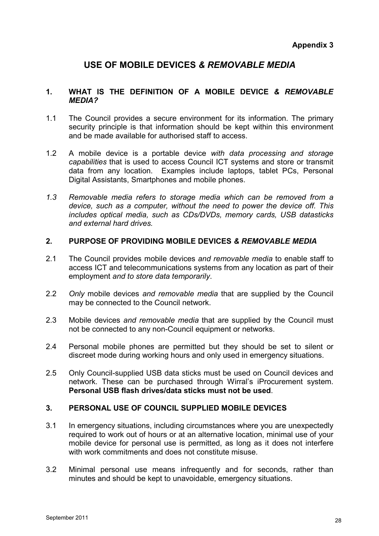# **USE OF MOBILE DEVICES** *& REMOVABLE MEDIA*

# **1. WHAT IS THE DEFINITION OF A MOBILE DEVICE** *& REMOVABLE MEDIA?*

- 1.1 The Council provides a secure environment for its information. The primary security principle is that information should be kept within this environment and be made available for authorised staff to access.
- 1.2 A mobile device is a portable device *with data processing and storage capabilities* that is used to access Council ICT systems and store or transmit data from any location. Examples include laptops, tablet PCs, Personal Digital Assistants, Smartphones and mobile phones.
- *1.3 Removable media refers to storage media which can be removed from a device, such as a computer, without the need to power the device off. This includes optical media, such as CDs/DVDs, memory cards, USB datasticks and external hard drives.*

# **2. PURPOSE OF PROVIDING MOBILE DEVICES** *& REMOVABLE MEDIA*

- 2.1 The Council provides mobile devices *and removable media* to enable staff to access ICT and telecommunications systems from any location as part of their employment *and to store data temporarily*.
- 2.2 *Only* mobile devices *and removable media* that are supplied by the Council may be connected to the Council network.
- 2.3 Mobile devices *and removable media* that are supplied by the Council must not be connected to any non-Council equipment or networks.
- 2.4 Personal mobile phones are permitted but they should be set to silent or discreet mode during working hours and only used in emergency situations.
- 2.5 Only Council-supplied USB data sticks must be used on Council devices and network. These can be purchased through Wirral's iProcurement system. **Personal USB flash drives/data sticks must not be used**.

# **3. PERSONAL USE OF COUNCIL SUPPLIED MOBILE DEVICES**

- 3.1 In emergency situations, including circumstances where you are unexpectedly required to work out of hours or at an alternative location, minimal use of your mobile device for personal use is permitted, as long as it does not interfere with work commitments and does not constitute misuse.
- 3.2 Minimal personal use means infrequently and for seconds, rather than minutes and should be kept to unavoidable, emergency situations.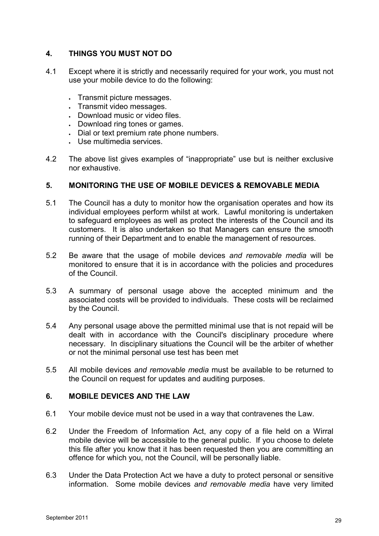# **4. THINGS YOU MUST NOT DO**

- 4.1 Except where it is strictly and necessarily required for your work, you must not use your mobile device to do the following:
	- Transmit picture messages.
	- Transmit video messages.
	- Download music or video files.
	- Download ring tones or games.
	- Dial or text premium rate phone numbers.
	- Use multimedia services.
- 4.2 The above list gives examples of "inappropriate" use but is neither exclusive nor exhaustive.

# **5. MONITORING THE USE OF MOBILE DEVICES & REMOVABLE MEDIA**

- 5.1 The Council has a duty to monitor how the organisation operates and how its individual employees perform whilst at work. Lawful monitoring is undertaken to safeguard employees as well as protect the interests of the Council and its customers. It is also undertaken so that Managers can ensure the smooth running of their Department and to enable the management of resources.
- 5.2 Be aware that the usage of mobile devices *and removable media* will be monitored to ensure that it is in accordance with the policies and procedures of the Council.
- 5.3 A summary of personal usage above the accepted minimum and the associated costs will be provided to individuals. These costs will be reclaimed by the Council.
- 5.4 Any personal usage above the permitted minimal use that is not repaid will be dealt with in accordance with the Council's disciplinary procedure where necessary. In disciplinary situations the Council will be the arbiter of whether or not the minimal personal use test has been met
- 5.5 All mobile devices *and removable media* must be available to be returned to the Council on request for updates and auditing purposes.

# **6. MOBILE DEVICES AND THE LAW**

- 6.1 Your mobile device must not be used in a way that contravenes the Law.
- 6.2 Under the Freedom of Information Act, any copy of a file held on a Wirral mobile device will be accessible to the general public. If you choose to delete this file after you know that it has been requested then you are committing an offence for which you, not the Council, will be personally liable.
- 6.3 Under the Data Protection Act we have a duty to protect personal or sensitive information. Some mobile devices *and removable media* have very limited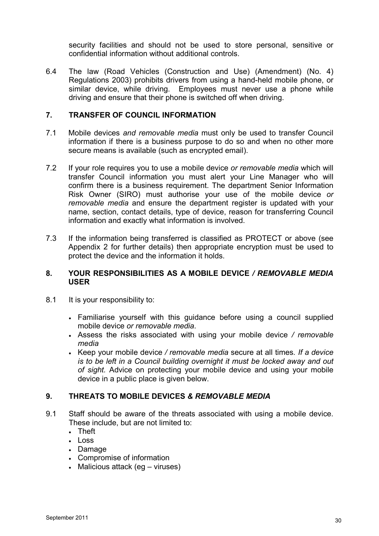security facilities and should not be used to store personal, sensitive or confidential information without additional controls.

6.4 The law (Road Vehicles (Construction and Use) (Amendment) (No. 4) Regulations 2003) prohibits drivers from using a hand-held mobile phone, or similar device, while driving. Employees must never use a phone while driving and ensure that their phone is switched off when driving.

# **7. TRANSFER OF COUNCIL INFORMATION**

- 7.1 Mobile devices *and removable media* must only be used to transfer Council information if there is a business purpose to do so and when no other more secure means is available (such as encrypted email).
- 7.2 If your role requires you to use a mobile device *or removable media* which will transfer Council information you must alert your Line Manager who will confirm there is a business requirement. The department Senior Information Risk Owner (SIRO) must authorise your use of the mobile device *or removable media* and ensure the department register is updated with your name, section, contact details, type of device, reason for transferring Council information and exactly what information is involved.
- 7.3 If the information being transferred is classified as PROTECT or above (see Appendix 2 for further details) then appropriate encryption must be used to protect the device and the information it holds.

# **8. YOUR RESPONSIBILITIES AS A MOBILE DEVICE** */ REMOVABLE MEDIA* **USER**

- 8.1 It is your responsibility to:
	- Familiarise yourself with this guidance before using a council supplied mobile device *or removable media*.
	- Assess the risks associated with using your mobile device */ removable media*
	- Keep your mobile device */ removable media* secure at all times*. If a device is to be left in a Council building overnight it must be locked away and out of sight.* Advice on protecting your mobile device and using your mobile device in a public place is given below.

# **9. THREATS TO MOBILE DEVICES** *& REMOVABLE MEDIA*

- 9.1 Staff should be aware of the threats associated with using a mobile device. These include, but are not limited to:
	- Theft
	- Loss
	- Damage
	- Compromise of information
	- Malicious attack (eg viruses)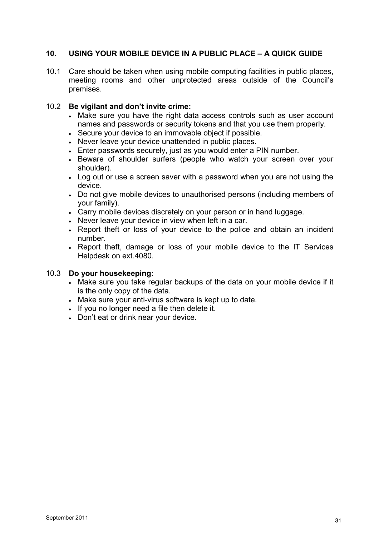# **10. USING YOUR MOBILE DEVICE IN A PUBLIC PLACE – A QUICK GUIDE**

10.1 Care should be taken when using mobile computing facilities in public places, meeting rooms and other unprotected areas outside of the Council's premises.

# 10.2 **Be vigilant and don't invite crime:**

- Make sure you have the right data access controls such as user account names and passwords or security tokens and that you use them properly.
- Secure your device to an immovable object if possible.
- Never leave your device unattended in public places.
- Enter passwords securely, just as you would enter a PIN number.
- Beware of shoulder surfers (people who watch your screen over your shoulder).
- Log out or use a screen saver with a password when you are not using the device.
- Do not give mobile devices to unauthorised persons (including members of your family).
- Carry mobile devices discretely on your person or in hand luggage.
- Never leave your device in view when left in a car.
- Report theft or loss of your device to the police and obtain an incident number.
- Report theft, damage or loss of your mobile device to the IT Services Helpdesk on ext.4080.

# 10.3 **Do your housekeeping:**

- Make sure you take regular backups of the data on your mobile device if it is the only copy of the data.
- Make sure your anti-virus software is kept up to date.
- If you no longer need a file then delete it.
- Don't eat or drink near your device.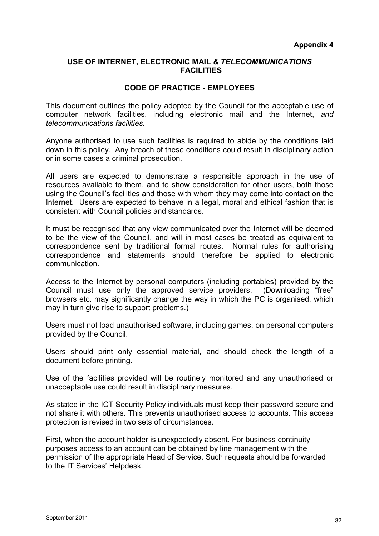# **USE OF INTERNET, ELECTRONIC MAIL** *& TELECOMMUNICATIONS*  **FACILITIES**

# **CODE OF PRACTICE - EMPLOYEES**

This document outlines the policy adopted by the Council for the acceptable use of computer network facilities, including electronic mail and the Internet, *and telecommunications facilities.* 

Anyone authorised to use such facilities is required to abide by the conditions laid down in this policy. Any breach of these conditions could result in disciplinary action or in some cases a criminal prosecution.

All users are expected to demonstrate a responsible approach in the use of resources available to them, and to show consideration for other users, both those using the Council's facilities and those with whom they may come into contact on the Internet. Users are expected to behave in a legal, moral and ethical fashion that is consistent with Council policies and standards.

It must be recognised that any view communicated over the Internet will be deemed to be the view of the Council, and will in most cases be treated as equivalent to correspondence sent by traditional formal routes. Normal rules for authorising correspondence and statements should therefore be applied to electronic communication.

Access to the Internet by personal computers (including portables) provided by the Council must use only the approved service providers. (Downloading "free" browsers etc. may significantly change the way in which the PC is organised, which may in turn give rise to support problems.)

Users must not load unauthorised software, including games, on personal computers provided by the Council.

Users should print only essential material, and should check the length of a document before printing.

Use of the facilities provided will be routinely monitored and any unauthorised or unacceptable use could result in disciplinary measures.

As stated in the ICT Security Policy individuals must keep their password secure and not share it with others. This prevents unauthorised access to accounts. This access protection is revised in two sets of circumstances.

First, when the account holder is unexpectedly absent. For business continuity purposes access to an account can be obtained by line management with the permission of the appropriate Head of Service. Such requests should be forwarded to the IT Services' Helpdesk.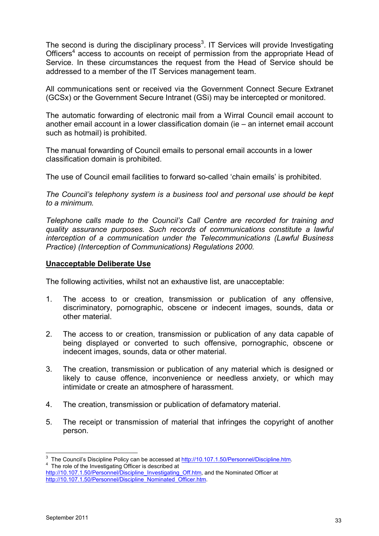The second is during the disciplinary process<sup>3</sup>. IT Services will provide Investigating Officers<sup>4</sup> access to accounts on receipt of permission from the appropriate Head of Service. In these circumstances the request from the Head of Service should be addressed to a member of the IT Services management team.

All communications sent or received via the Government Connect Secure Extranet (GCSx) or the Government Secure Intranet (GSi) may be intercepted or monitored.

The automatic forwarding of electronic mail from a Wirral Council email account to another email account in a lower classification domain (ie – an internet email account such as hotmail) is prohibited.

The manual forwarding of Council emails to personal email accounts in a lower classification domain is prohibited.

The use of Council email facilities to forward so-called 'chain emails' is prohibited.

*The Council's telephony system is a business tool and personal use should be kept to a minimum.* 

*Telephone calls made to the Council's Call Centre are recorded for training and quality assurance purposes. Such records of communications constitute a lawful interception of a communication under the Telecommunications (Lawful Business Practice) (Interception of Communications) Regulations 2000.* 

# **Unacceptable Deliberate Use**

The following activities, whilst not an exhaustive list, are unacceptable:

- 1. The access to or creation, transmission or publication of any offensive, discriminatory, pornographic, obscene or indecent images, sounds, data or other material.
- 2. The access to or creation, transmission or publication of any data capable of being displayed or converted to such offensive, pornographic, obscene or indecent images, sounds, data or other material.
- 3. The creation, transmission or publication of any material which is designed or likely to cause offence, inconvenience or needless anxiety, or which may intimidate or create an atmosphere of harassment.
- 4. The creation, transmission or publication of defamatory material.
- 5. The receipt or transmission of material that infringes the copyright of another person.

 $\overline{a}$ 

<sup>&</sup>lt;sup>3</sup> The Council's Discipline Policy can be accessed at http://10.107.1.50/Personnel/Discipline.htm. <sup>4</sup> The role of the Investigating Officer is described at

http://10.107.1.50/Personnel/Discipline\_Investigating\_Off.htm, and the Nominated Officer at http://10.107.1.50/Personnel/Discipline\_Nominated\_Officer.htm.